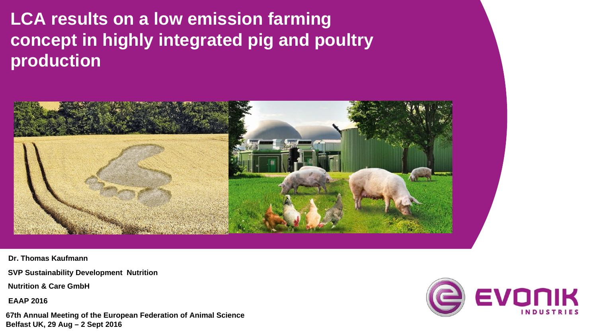# **LCA results on a low emission farming concept in highly integrated pig and poultry production**



**Dr. Thomas Kaufmann**

**SVP Sustainability Development Nutrition**

**Nutrition & Care GmbH**

**EAAP 2016**

**67th Annual Meeting of the European Federation of Animal Science Belfast UK, 29 Aug – 2 Sept 2016** 

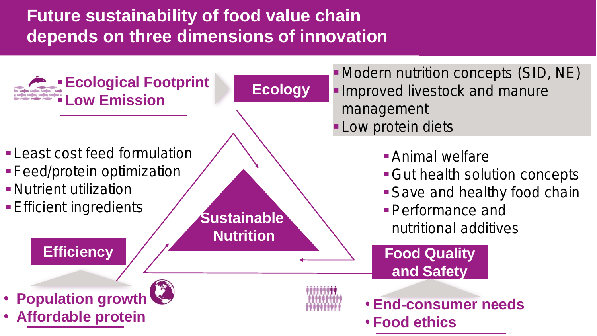# **Future sustainability of food value chain depends on three dimensions of innovation**

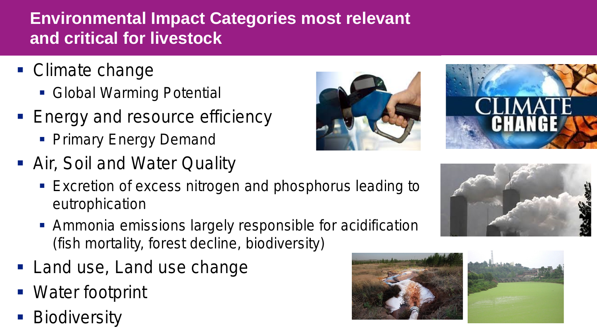# **Environmental Impact Categories most relevant and critical for livestock**

- Climate change
	- **Global Warming Potential**
- **Energy and resource efficiency** 
	- **Primary Energy Demand**
- Air, Soil and Water Quality
	- **Excretion of excess nitrogen and phosphorus leading to** eutrophication
	- **Ammonia emissions largely responsible for acidification** (fish mortality, forest decline, biodiversity)
- **Land use, Land use change**
- Water footprint
- **Biodiversity**









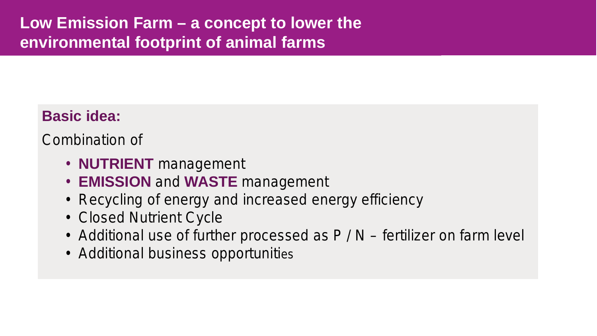### **Low Emission Farm – a concept to lower the environmental footprint of animal farms**

#### **Basic idea:**

Combination of

- **NUTRIENT** management
- **EMISSION** and **WASTE** management
- Recycling of energy and increased energy efficiency
- Closed Nutrient Cycle
- Additional use of further processed as P / N fertilizer on farm level
- Additional business opportunities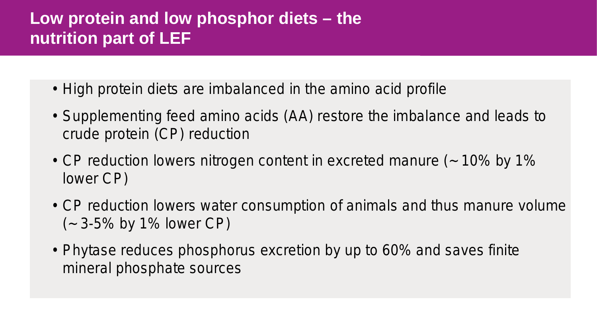# **Low protein and low phosphor diets – the nutrition part of LEF**

- High protein diets are imbalanced in the amino acid profile
- Supplementing feed amino acids (AA) restore the imbalance and leads to crude protein (CP) reduction
- CP reduction lowers nitrogen content in excreted manure (~ 10% by 1% lower CP)
- CP reduction lowers water consumption of animals and thus manure volume (~ 3-5% by 1% lower CP)
- Phytase reduces phosphorus excretion by up to 60% and saves finite mineral phosphate sources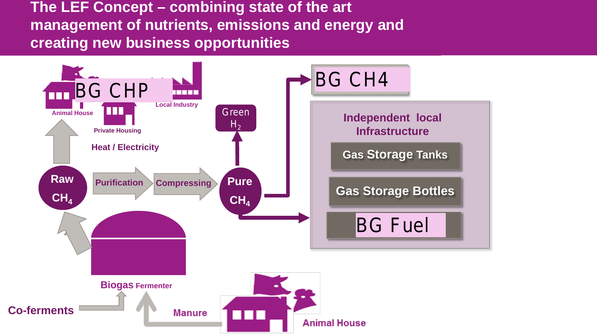**The LEF Concept – combining state of the art management of nutrients, emissions and energy and creating new business opportunities**

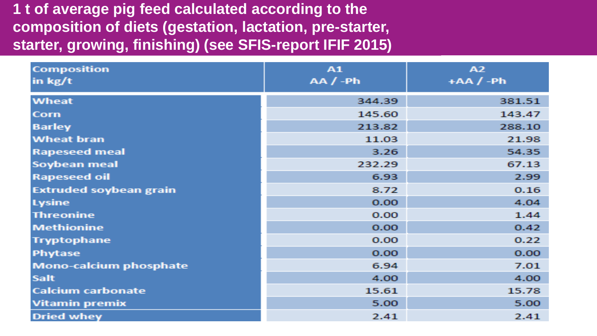#### **1 t of average pig feed calculated according to the composition of diets (gestation, lactation, pre-starter, starter, growing, finishing) (see SFIS-report IFIF 2015)**

| Composition                   | A1<br>$AA/$ -Ph | A2<br>$+AA/ -Ph$ |
|-------------------------------|-----------------|------------------|
| $\ln$ kg/t                    |                 |                  |
| Wheat                         | 344.39          | 381.51           |
| Corn                          | 145.60          | 143.47           |
| <b>Barley</b>                 | 213.82          | 288.10           |
| <b>Wheat bran</b>             | 11.03           | 21.98            |
| <b>Rapeseed meal</b>          | 3.26            | 54.35            |
| Soybean meal                  | 232.29          | 67.13            |
| <b>Rapeseed oil</b>           | 6.93            | 2.99             |
| <b>Extruded soybean grain</b> | 8.72            | 0.16             |
| <b>Lysine</b>                 | 0.00            | 4.04             |
| <b>Threonine</b>              | 0.00            | 1.44             |
| <b>Methionine</b>             | 0.00            | 0.42             |
| <b>Tryptophane</b>            | 0.00            | 0.22             |
| Phytase                       | 0.00            | 0.00             |
| <b>Mono-calcium phosphate</b> | 6.94            | 7.01             |
| Salt                          | 4.00            | 4.00             |
| <b>Calcium carbonate</b>      | 15.61           | 15.78            |
| <b>Vitamin premix</b>         | 5.00            | 5.00             |
| <b>Dried whey</b>             | 2.41            | 2.41             |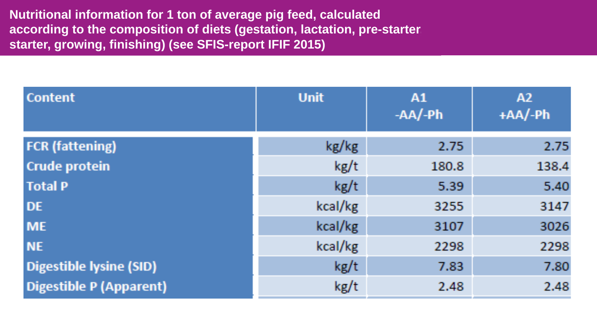**Nutritional information for 1 ton of average pig feed, calculated according to the composition of diets (gestation, lactation, pre-starter, starter, growing, finishing) (see SFIS-report IFIF 2015)**

| <b>Content</b>                 | <b>Unit</b> | A1<br>$-AA/Ph$ | A2<br>$+A$ A $/$ -Ph |
|--------------------------------|-------------|----------------|----------------------|
| <b>FCR</b> (fattening)         | kg/kg       | 2.75           | 2.75                 |
| <b>Crude protein</b>           | kg/t        | 180.8          | 138.4                |
| <b>Total P</b>                 | kg/t        | 5.39           | 5.40                 |
| <b>DE</b>                      | kcal/kg     | 3255           | 3147                 |
| <b>ME</b>                      | kcal/kg     | 3107           | 3026                 |
| <b>NE</b>                      | kcal/kg     | 2298           | 2298                 |
| <b>Digestible lysine (SID)</b> | kg/t        | 7.83           | 7.80                 |
| <b>Digestible P (Apparent)</b> | kg/t        | 2.48           | 2.48                 |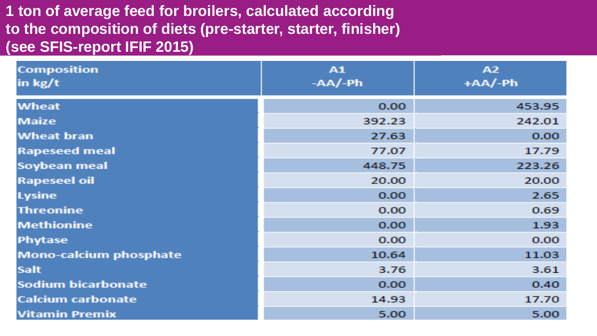#### **1 ton of average feed for broilers, calculated according to the composition of diets (pre-starter, starter, finisher) (see SFIS-report IFIF 2015)**

| Composition<br>$\ln$ kg/t     | A1<br>$-AA/ -Ph$ | A2<br>$+A A / - P h$ |
|-------------------------------|------------------|----------------------|
| <b>Wheat</b>                  | 0.00             | 453.95               |
| <b>Maize</b>                  | 392.23           | 242.01               |
| <b>Wheat bran</b>             | 27.63            | 0.00                 |
| <b>Rapeseed meal</b>          | 77.07            | 17.79                |
| Soybean meal                  | 448.75           | 223.26               |
| <b>Rapeseel oil</b>           | 20.00            | 20.00                |
| <b>Lysine</b>                 | 0.00             | 2.65                 |
| <b>Threonine</b>              | 0.00             | 0.69                 |
| <b>Methionine</b>             | 0.00             | 1.93                 |
| Phytase                       | 0.00             | 0.00                 |
| <b>Mono-calcium phosphate</b> | 10.64            | 11.03                |
| <b>Salt</b>                   | 3.76             | 3.61                 |
| Sodium bicarbonate            | 0.00             | 0.40                 |
| <b>Calcium carbonate</b>      | 14.93            | 17.70                |
| <b>Vitamin Premix</b>         | 5.00             | 5.00                 |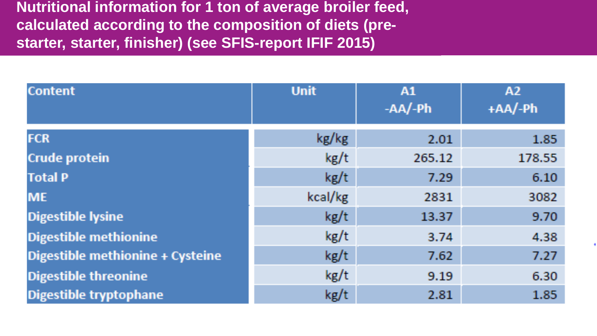**Nutritional information for 1 ton of average broiler feed, calculated according to the composition of diets (prestarter, starter, finisher) (see SFIS-report IFIF 2015)**

| Content                          | <b>Unit</b> | A1<br>$-AA/ - Ph$ | A2<br>$+A$ A $/$ -Ph |
|----------------------------------|-------------|-------------------|----------------------|
| <b>FCR</b>                       | kg/kg       | 2.01              | 1.85                 |
| Crude protein                    | kg/t        | 265.12            | 178.55               |
| <b>Total P</b>                   | kg/t        | 7.29              | 6.10                 |
| <b>ME</b>                        | kcal/kg     | 2831              | 3082                 |
| <b>Digestible lysine</b>         | kg/t        | 13.37             | 9.70                 |
| <b>Digestible methionine</b>     | kg/t        | 3.74              | 4.38                 |
| Digestible methionine + Cysteine | kg/t        | 7.62              | 7.27                 |
| <b>Digestible threonine</b>      | kg/t        | 9.19              | 6.30                 |
| Digestible tryptophane           | kg/t        | 2.81              | 1.85                 |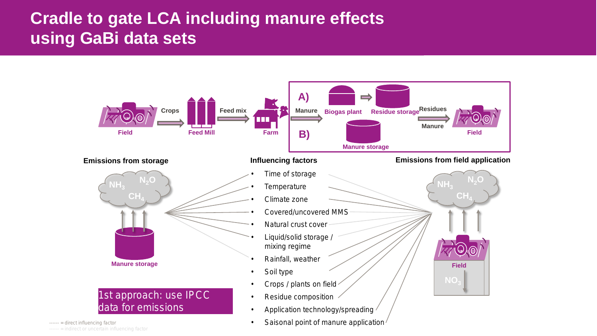### **Cradle to gate LCA including manure effects using GaBi data sets**



• Saisonal point of manure application

------ = direct influencing factor ------ = indirect or uncertain influencing factor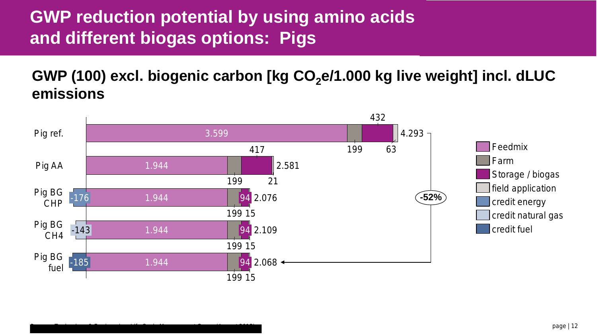# **GWP reduction potential by using amino acids and different biogas options: Pigs**

Process Technology & Engineering, Life Cycle Management Group (August 2015)

GWP (100) excl. biogenic carbon [kg CO<sub>2</sub>e/1.000 kg live weight] incl. dLUC **emissions**

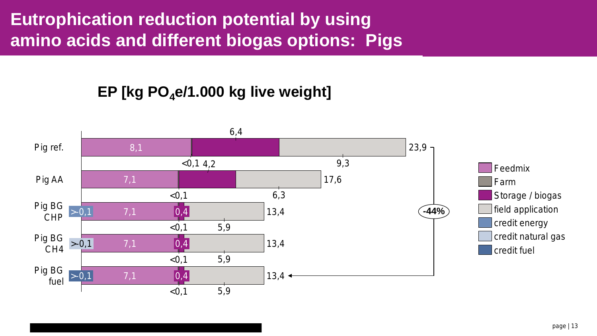# **Eutrophication reduction potential by using amino acids and different biogas options: Pigs**

#### EP [kg PO<sub>4</sub>e/1.000 kg live weight]

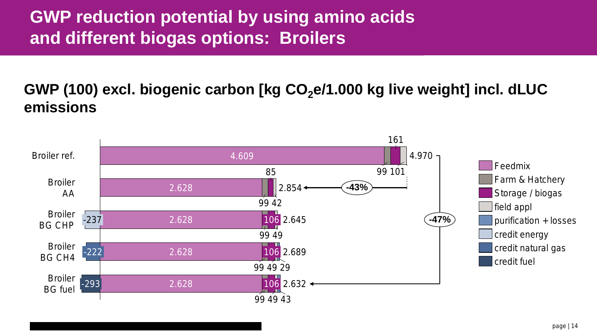# **GWP reduction potential by using amino acids and different biogas options: Broilers**

#### GWP (100) excl. biogenic carbon [kg CO<sub>2</sub>e/1.000 kg live weight] incl. dLUC **emissions**

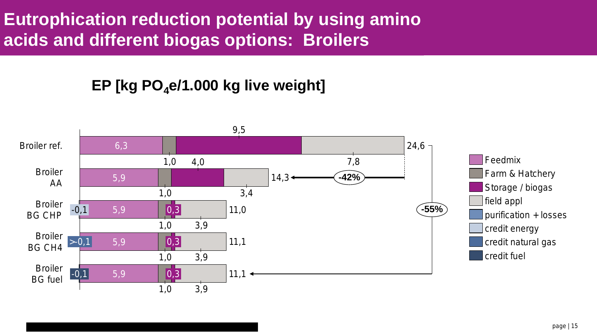# **Eutrophication reduction potential by using amino acids and different biogas options: Broilers**

#### EP [kg  $PO_4$ e/1.000 kg live weight]

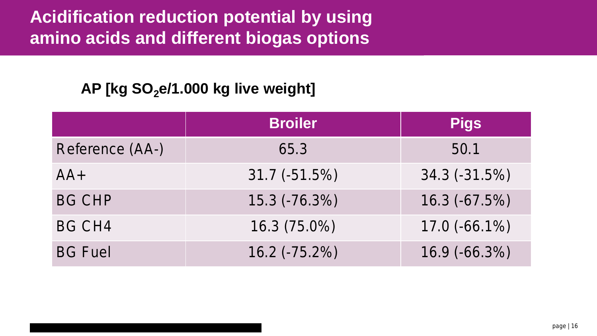## **Acidification reduction potential by using amino acids and different biogas options**

#### AP [kg SO<sub>2</sub>e/1.000 kg live weight]

|                 | <b>Broiler</b>  | <b>Pigs</b>      |
|-----------------|-----------------|------------------|
| Reference (AA-) | 65.3            | 50.1             |
| $AA+$           | $31.7(-51.5\%)$ | $34.3(-31.5%)$   |
| <b>BG CHP</b>   | 15.3 (-76.3%)   | 16.3 (-67.5%)    |
| <b>BG CH4</b>   | 16.3 (75.0%)    | $17.0 (-66.1\%)$ |
| <b>BG Fuel</b>  | 16.2 (-75.2%)   | 16.9 (-66.3%)    |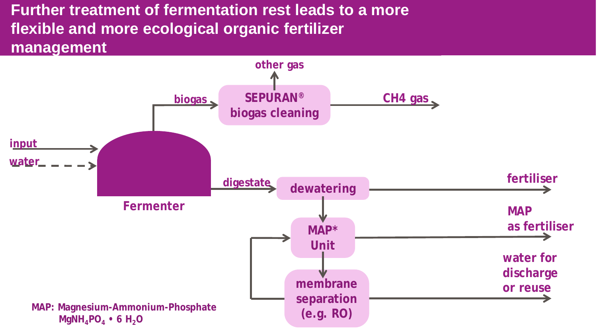#### **Further treatment of fermentation rest leads to a more flexible and more ecological organic fertilizer management**